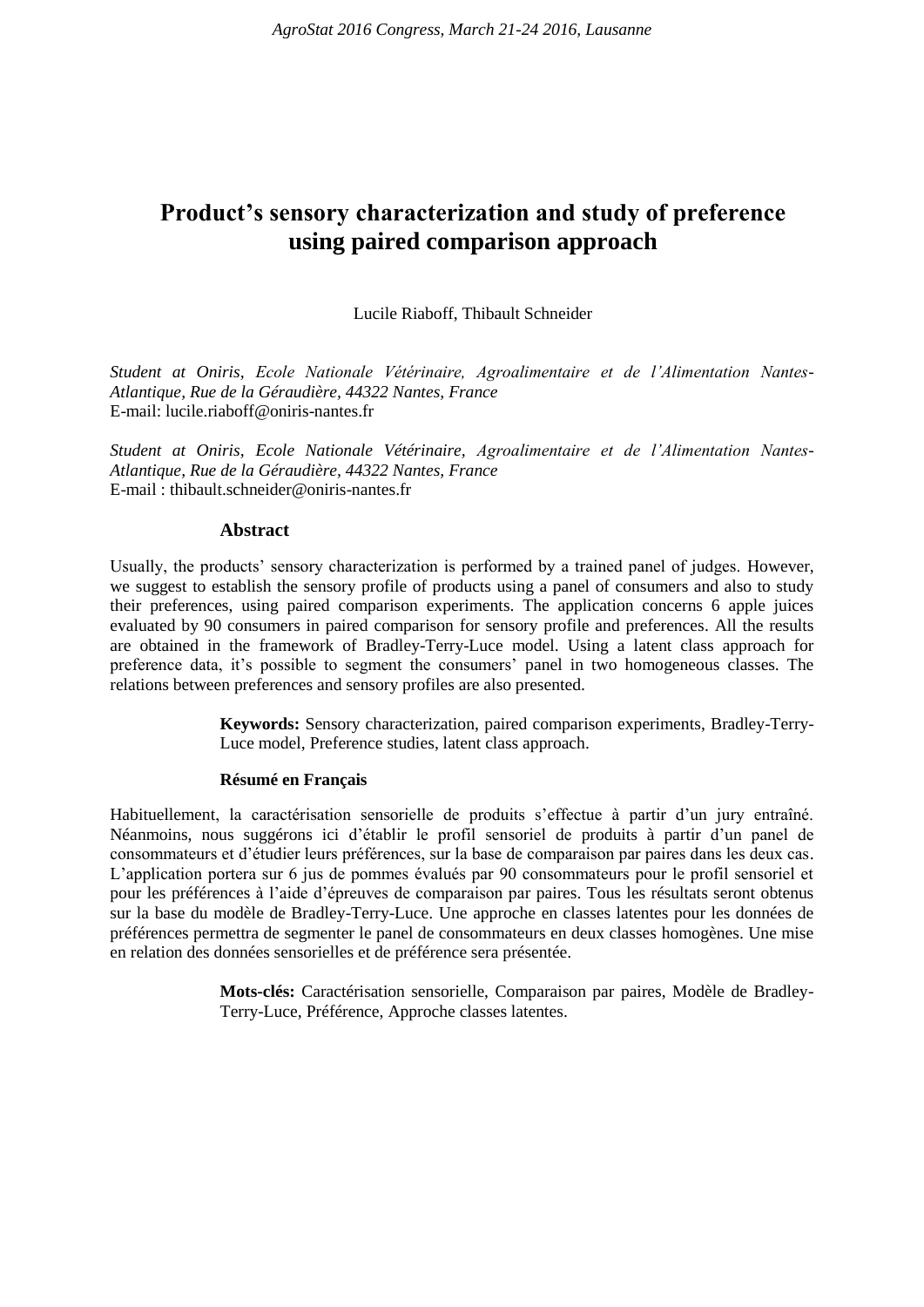# **Product's sensory characterization and study of preference using paired comparison approach**

Lucile Riaboff, Thibault Schneider

*Student at Oniris, Ecole Nationale Vétérinaire, Agroalimentaire et de l'Alimentation Nantes-Atlantique, Rue de la Géraudière, 44322 Nantes, France*  E-mail: lucile.riaboff@oniris-nantes.fr

*Student at Oniris, Ecole Nationale Vétérinaire, Agroalimentaire et de l'Alimentation Nantes-Atlantique, Rue de la Géraudière, 44322 Nantes, France*  E-mail  $\cdot$  thibault schneider@oniris-nantes fr

#### **Abstract**

Usually, the products' sensory characterization is performed by a trained panel of judges. However, we suggest to establish the sensory profile of products using a panel of consumers and also to study their preferences, using paired comparison experiments. The application concerns 6 apple juices evaluated by 90 consumers in paired comparison for sensory profile and preferences. All the results are obtained in the framework of Bradley-Terry-Luce model. Using a latent class approach for preference data, it's possible to segment the consumers' panel in two homogeneous classes. The relations between preferences and sensory profiles are also presented.

> **Keywords:** Sensory characterization, paired comparison experiments, Bradley-Terry-Luce model, Preference studies, latent class approach.

#### **Résumé en Français**

Habituellement, la caractérisation sensorielle de produits s'effectue à partir d'un jury entraîné. Néanmoins, nous suggérons ici d'établir le profil sensoriel de produits à partir d'un panel de consommateurs et d'étudier leurs préférences, sur la base de comparaison par paires dans les deux cas. L'application portera sur 6 jus de pommes évalués par 90 consommateurs pour le profil sensoriel et pour les préférences à l'aide d'épreuves de comparaison par paires. Tous les résultats seront obtenus sur la base du modèle de Bradley-Terry-Luce. Une approche en classes latentes pour les données de préférences permettra de segmenter le panel de consommateurs en deux classes homogènes. Une mise en relation des données sensorielles et de préférence sera présentée.

> **Mots-clés:** Caractérisation sensorielle, Comparaison par paires, Modèle de Bradley-Terry-Luce, Préférence, Approche classes latentes.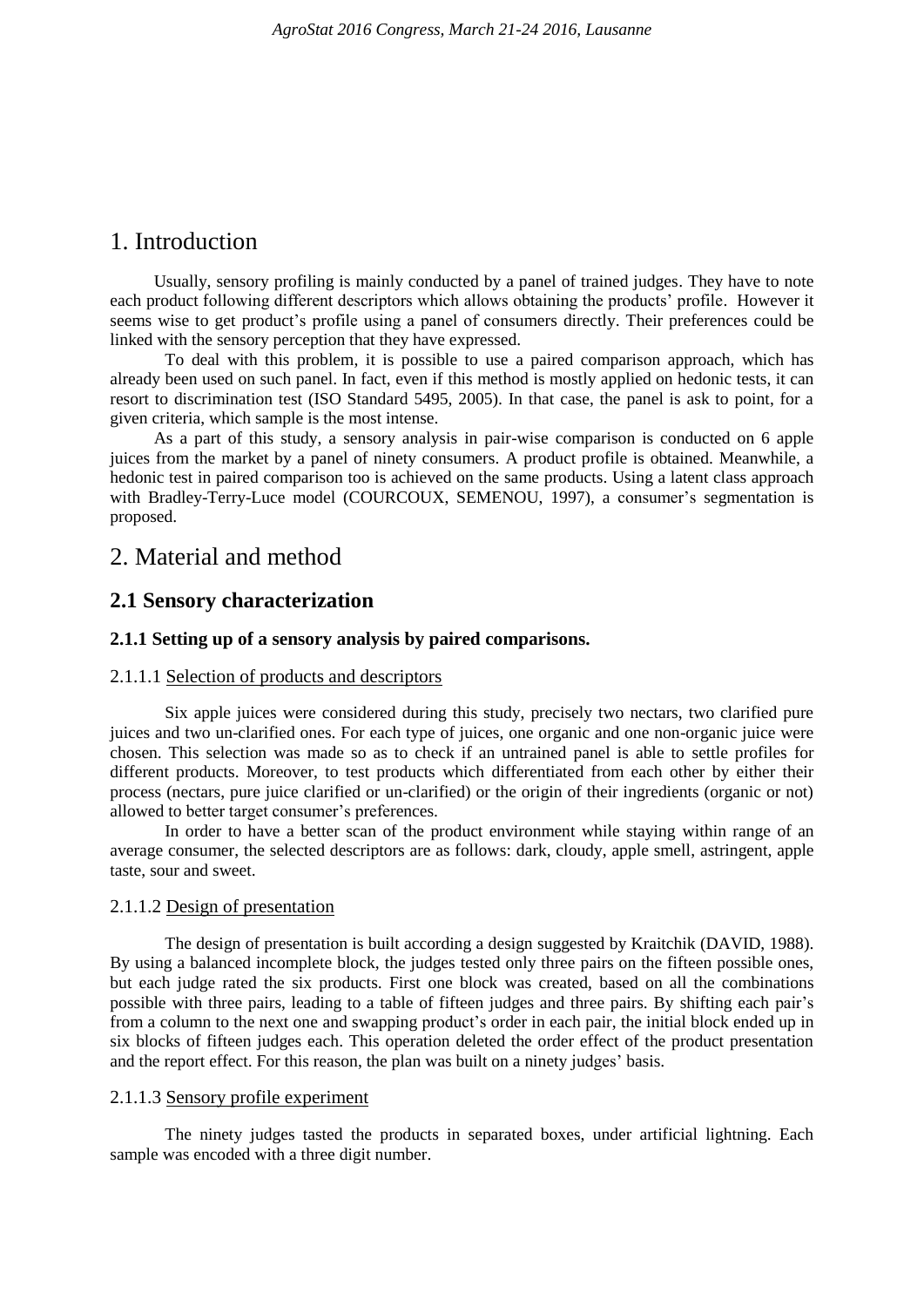## 1. Introduction

Usually, sensory profiling is mainly conducted by a panel of trained judges. They have to note each product following different descriptors which allows obtaining the products' profile. However it seems wise to get product's profile using a panel of consumers directly. Their preferences could be linked with the sensory perception that they have expressed.

To deal with this problem, it is possible to use a paired comparison approach, which has already been used on such panel. In fact, even if this method is mostly applied on hedonic tests, it can resort to discrimination test (ISO Standard 5495, 2005). In that case, the panel is ask to point, for a given criteria, which sample is the most intense.

As a part of this study, a sensory analysis in pair-wise comparison is conducted on 6 apple juices from the market by a panel of ninety consumers. A product profile is obtained. Meanwhile, a hedonic test in paired comparison too is achieved on the same products. Using a latent class approach with Bradley-Terry-Luce model (COURCOUX, SEMENOU, 1997), a consumer's segmentation is proposed.

## 2. Material and method

## **2.1 Sensory characterization**

#### **2.1.1 Setting up of a sensory analysis by paired comparisons.**

#### 2.1.1.1 Selection of products and descriptors

Six apple juices were considered during this study, precisely two nectars, two clarified pure juices and two un-clarified ones. For each type of juices, one organic and one non-organic juice were chosen. This selection was made so as to check if an untrained panel is able to settle profiles for different products. Moreover, to test products which differentiated from each other by either their process (nectars, pure juice clarified or un-clarified) or the origin of their ingredients (organic or not) allowed to better target consumer's preferences.

In order to have a better scan of the product environment while staying within range of an average consumer, the selected descriptors are as follows: dark, cloudy, apple smell, astringent, apple taste, sour and sweet.

#### 2.1.1.2 Design of presentation

The design of presentation is built according a design suggested by Kraitchik (DAVID, 1988). By using a balanced incomplete block, the judges tested only three pairs on the fifteen possible ones, but each judge rated the six products. First one block was created, based on all the combinations possible with three pairs, leading to a table of fifteen judges and three pairs. By shifting each pair's from a column to the next one and swapping product's order in each pair, the initial block ended up in six blocks of fifteen judges each. This operation deleted the order effect of the product presentation and the report effect. For this reason, the plan was built on a ninety judges' basis.

#### 2.1.1.3 Sensory profile experiment

The ninety judges tasted the products in separated boxes, under artificial lightning. Each sample was encoded with a three digit number.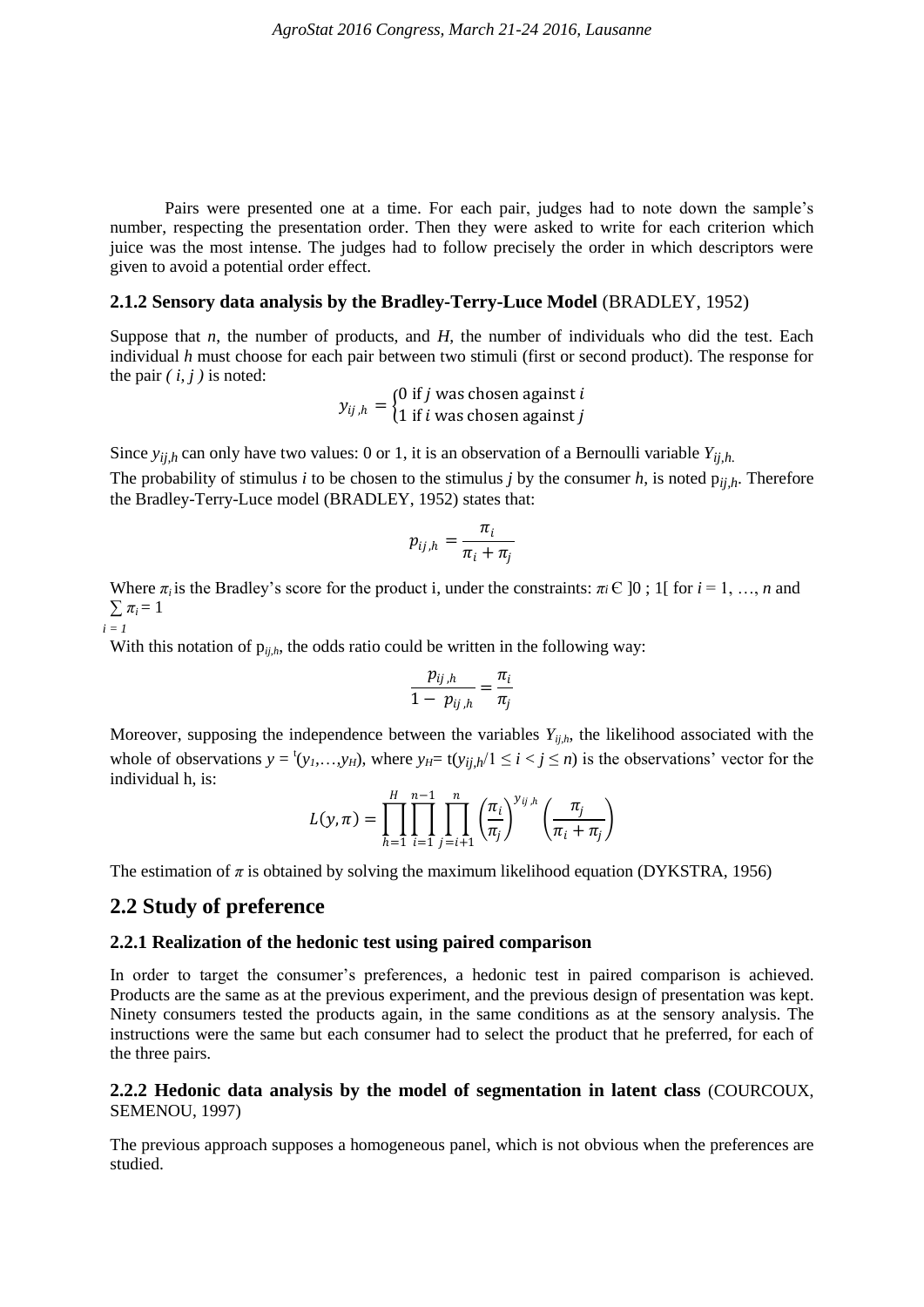Pairs were presented one at a time. For each pair, judges had to note down the sample's number, respecting the presentation order. Then they were asked to write for each criterion which juice was the most intense. The judges had to follow precisely the order in which descriptors were given to avoid a potential order effect.

#### **2.1.2 Sensory data analysis by the Bradley-Terry-Luce Model** (BRADLEY, 1952)

Suppose that  $n$ , the number of products, and  $H$ , the number of individuals who did the test. Each individual *h* must choose for each pair between two stimuli (first or second product). The response for the pair  $(i, j)$  is noted:

$$
y_{ij,h} = \begin{cases} 0 \text{ if } j \text{ was chosen against } i \\ 1 \text{ if } i \text{ was chosen against } j \end{cases}
$$

Since *yij,h* can only have two values: 0 or 1, it is an observation of a Bernoulli variable *Yij,h*.

The probability of stimulus *i* to be chosen to the stimulus *j* by the consumer *h*, is noted  $p_{ii,h}$ . Therefore the Bradley-Terry-Luce model (BRADLEY, 1952) states that:

$$
p_{ij,h} = \frac{\pi_i}{\pi_i + \pi_j}
$$

Where  $\pi_i$  is the Bradley's score for the product i, under the constraints:  $\pi_i \in [0; 1]$  for  $i = 1, ..., n$  and  $\sum \pi_i = 1$ 

$$
i=1
$$

With this notation of  $p_{ijk}$ , the odds ratio could be written in the following way:

$$
\frac{p_{ij,h}}{1-p_{ij,h}}=\frac{\pi_i}{\pi_j}
$$

Moreover, supposing the independence between the variables  $Y_{i,j}$ , the likelihood associated with the whole of observations  $y = (y_1, ..., y_H)$ , where  $y_H = t(y_{ij}, h/1 \le i < j \le n)$  is the observations' vector for the individual h, is:

$$
L(y,\pi) = \prod_{h=1}^H \prod_{i=1}^{n-1} \prod_{j=i+1}^n \left(\frac{\pi_i}{\pi_j}\right)^{y_{ij,h}} \left(\frac{\pi_j}{\pi_i + \pi_j}\right)
$$

The estimation of  $\pi$  is obtained by solving the maximum likelihood equation (DYKSTRA, 1956)

## **2.2 Study of preference**

### **2.2.1 Realization of the hedonic test using paired comparison**

In order to target the consumer's preferences, a hedonic test in paired comparison is achieved. Products are the same as at the previous experiment, and the previous design of presentation was kept. Ninety consumers tested the products again, in the same conditions as at the sensory analysis. The instructions were the same but each consumer had to select the product that he preferred, for each of the three pairs.

#### **2.2.2 Hedonic data analysis by the model of segmentation in latent class** (COURCOUX, SEMENOU, 1997)

The previous approach supposes a homogeneous panel, which is not obvious when the preferences are studied.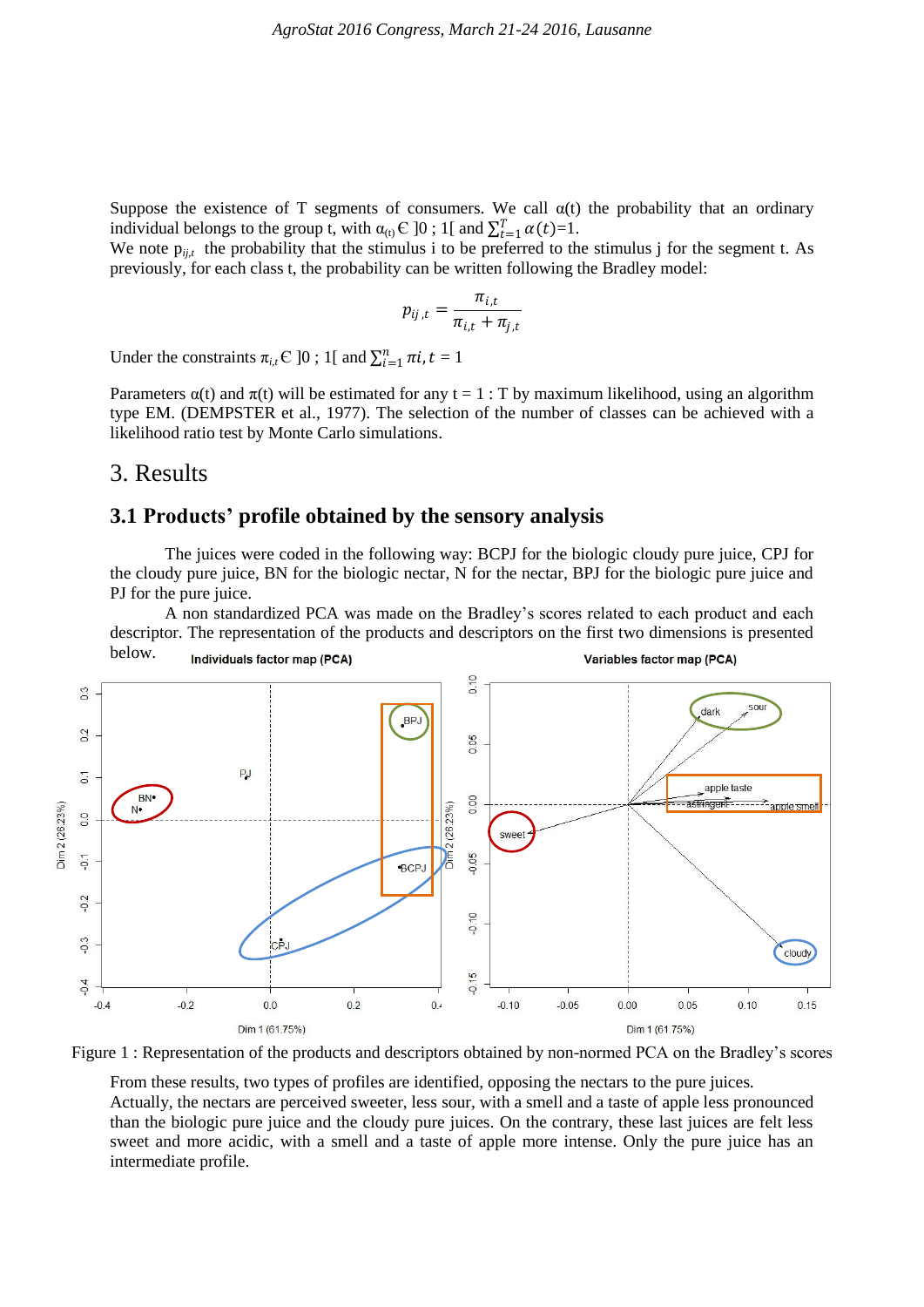Suppose the existence of T segments of consumers. We call  $\alpha(t)$  the probability that an ordinary individual belongs to the group t, with  $\alpha_{(t)} \in ]0; 1[$  and  $\sum_{t=1}^{T} \alpha(t)=1$ .

We note  $p_{ij,t}$  the probability that the stimulus i to be preferred to the stimulus j for the segment t. As previously, for each class t, the probability can be written following the Bradley model:

$$
p_{ij,t} = \frac{\pi_{i,t}}{\pi_{i,t} + \pi_{j,t}}
$$

Under the constraints  $\pi_{i,t} \in ]0; 1[$  and  $\sum_{i=1}^{n} \pi i, t = 1]$ 

Parameters  $\alpha(t)$  and  $\pi(t)$  will be estimated for any t = 1 : T by maximum likelihood, using an algorithm type EM. (DEMPSTER et al., 1977). The selection of the number of classes can be achieved with a likelihood ratio test by Monte Carlo simulations.

## 3. Results

### **3.1 Products' profile obtained by the sensory analysis**

The juices were coded in the following way: BCPJ for the biologic cloudy pure juice, CPJ for the cloudy pure juice, BN for the biologic nectar, N for the nectar, BPJ for the biologic pure juice and PJ for the pure juice.

A non standardized PCA was made on the Bradley's scores related to each product and each descriptor. The representation of the products and descriptors on the first two dimensions is presented below.



Figure 1 : Representation of the products and descriptors obtained by non-normed PCA on the Bradley's scores

From these results, two types of profiles are identified, opposing the nectars to the pure juices. Actually, the nectars are perceived sweeter, less sour, with a smell and a taste of apple less pronounced than the biologic pure juice and the cloudy pure juices. On the contrary, these last juices are felt less sweet and more acidic, with a smell and a taste of apple more intense. Only the pure juice has an intermediate profile.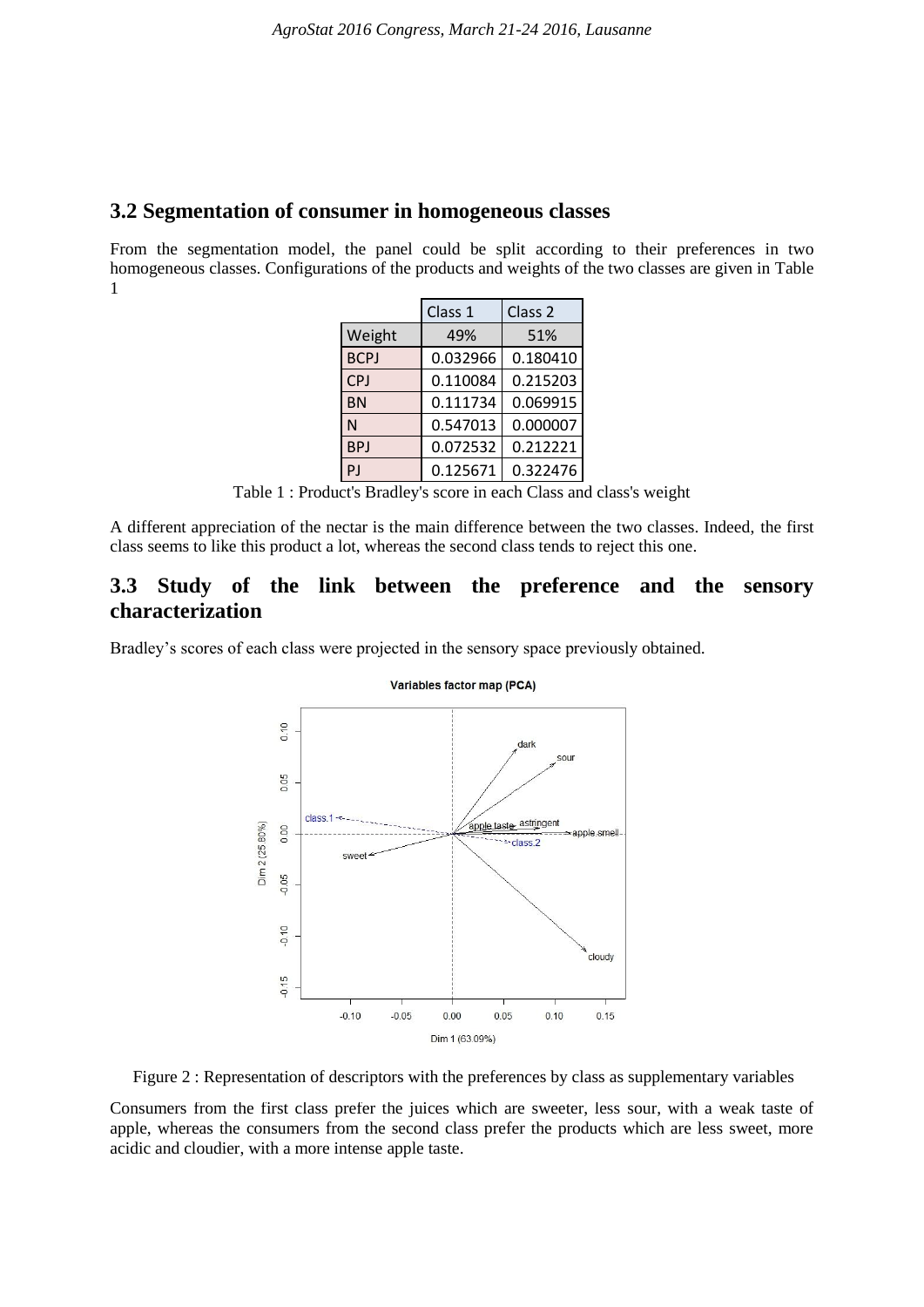## **3.2 Segmentation of consumer in homogeneous classes**

From the segmentation model, the panel could be split according to their preferences in two homogeneous classes. Configurations of the products and weights of the two classes are given in Table 1

|             | Class 1  | Class <sub>2</sub> |
|-------------|----------|--------------------|
| Weight      | 49%      | 51%                |
| <b>BCPJ</b> | 0.032966 | 0.180410           |
| <b>CPJ</b>  | 0.110084 | 0.215203           |
| <b>BN</b>   | 0.111734 | 0.069915           |
| N           | 0.547013 | 0.000007           |
| <b>BPJ</b>  | 0.072532 | 0.212221           |
| P.I         | 0.125671 | 0.322476           |

Table 1 : Product's Bradley's score in each Class and class's weight

A different appreciation of the nectar is the main difference between the two classes. Indeed, the first class seems to like this product a lot, whereas the second class tends to reject this one.

## **3.3 Study of the link between the preference and the sensory characterization**

Bradley's scores of each class were projected in the sensory space previously obtained.



#### Variables factor map (PCA)

Figure 2 : Representation of descriptors with the preferences by class as supplementary variables

Consumers from the first class prefer the juices which are sweeter, less sour, with a weak taste of apple, whereas the consumers from the second class prefer the products which are less sweet, more acidic and cloudier, with a more intense apple taste.